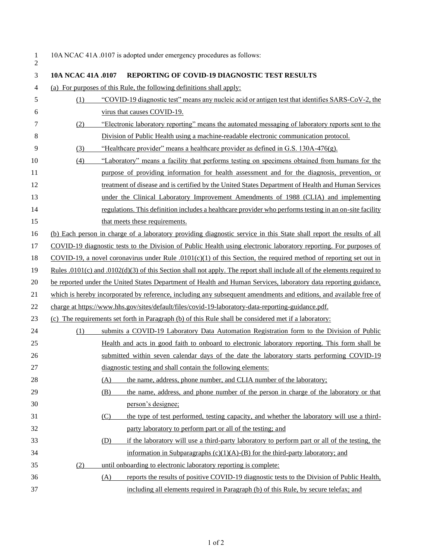|           | 1 10A NCAC 41A .0107 is adopted under emergency procedures as follows: |
|-----------|------------------------------------------------------------------------|
| $\bigcap$ |                                                                        |

| 3  | 104 NCAC 41A .0107 | <b>REPORTING OF COVID-19 DIAGNOSTIC TEST RESULTS</b>                                                                     |
|----|--------------------|--------------------------------------------------------------------------------------------------------------------------|
| 4  |                    | (a) For purposes of this Rule, the following definitions shall apply:                                                    |
| 5  | (1)                | "COVID-19 diagnostic test" means any nucleic acid or antigen test that identifies SARS-CoV-2, the                        |
| 6  |                    | virus that causes COVID-19.                                                                                              |
| 7  | (2)                | "Electronic laboratory reporting" means the automated messaging of laboratory reports sent to the                        |
| 8  |                    | Division of Public Health using a machine-readable electronic communication protocol.                                    |
| 9  | (3)                | "Healthcare provider" means a healthcare provider as defined in G.S. 130A-476(g).                                        |
| 10 | (4)                | "Laboratory" means a facility that performs testing on specimens obtained from humans for the                            |
| 11 |                    | purpose of providing information for health assessment and for the diagnosis, prevention, or                             |
| 12 |                    | treatment of disease and is certified by the United States Department of Health and Human Services                       |
| 13 |                    | under the Clinical Laboratory Improvement Amendments of 1988 (CLIA) and implementing                                     |
| 14 |                    | regulations. This definition includes a healthcare provider who performs testing in an on-site facility                  |
| 15 |                    | that meets these requirements.                                                                                           |
| 16 |                    | (b) Each person in charge of a laboratory providing diagnostic service in this State shall report the results of all     |
| 17 |                    | COVID-19 diagnostic tests to the Division of Public Health using electronic laboratory reporting. For purposes of        |
| 18 |                    | COVID-19, a novel coronavirus under Rule $.0101(c)(1)$ of this Section, the required method of reporting set out in      |
| 19 |                    | Rules .0101(c) and .0102(d)(3) of this Section shall not apply. The report shall include all of the elements required to |
| 20 |                    | be reported under the United States Department of Health and Human Services, laboratory data reporting guidance,         |
| 21 |                    | which is hereby incorporated by reference, including any subsequent amendments and editions, and available free of       |
| 22 |                    | charge at https://www.hhs.gov/sites/default/files/covid-19-laboratory-data-reporting-guidance.pdf.                       |
| 23 |                    | (c) The requirements set forth in Paragraph (b) of this Rule shall be considered met if a laboratory:                    |
| 24 | (1)                | submits a COVID-19 Laboratory Data Automation Registration form to the Division of Public                                |
| 25 |                    | Health and acts in good faith to onboard to electronic laboratory reporting. This form shall be                          |
| 26 |                    | submitted within seven calendar days of the date the laboratory starts performing COVID-19                               |
| 27 |                    | diagnostic testing and shall contain the following elements:                                                             |
| 28 |                    | the name, address, phone number, and CLIA number of the laboratory;<br>(A)                                               |
| 29 |                    | the name, address, and phone number of the person in charge of the laboratory or that<br>(B)                             |
| 30 |                    | person's designee;                                                                                                       |
| 31 |                    | the type of test performed, testing capacity, and whether the laboratory will use a third-<br>(C)                        |
| 32 |                    | party laboratory to perform part or all of the testing; and                                                              |
| 33 |                    | if the laboratory will use a third-party laboratory to perform part or all of the testing, the<br>(D)                    |
| 34 |                    | information in Subparagraphs $(c)(1)(A)$ -(B) for the third-party laboratory; and                                        |
| 35 | (2)                | until onboarding to electronic laboratory reporting is complete:                                                         |
| 36 |                    | reports the results of positive COVID-19 diagnostic tests to the Division of Public Health,<br>(A)                       |
| 37 |                    | including all elements required in Paragraph (b) of this Rule, by secure telefax; and                                    |
|    |                    |                                                                                                                          |